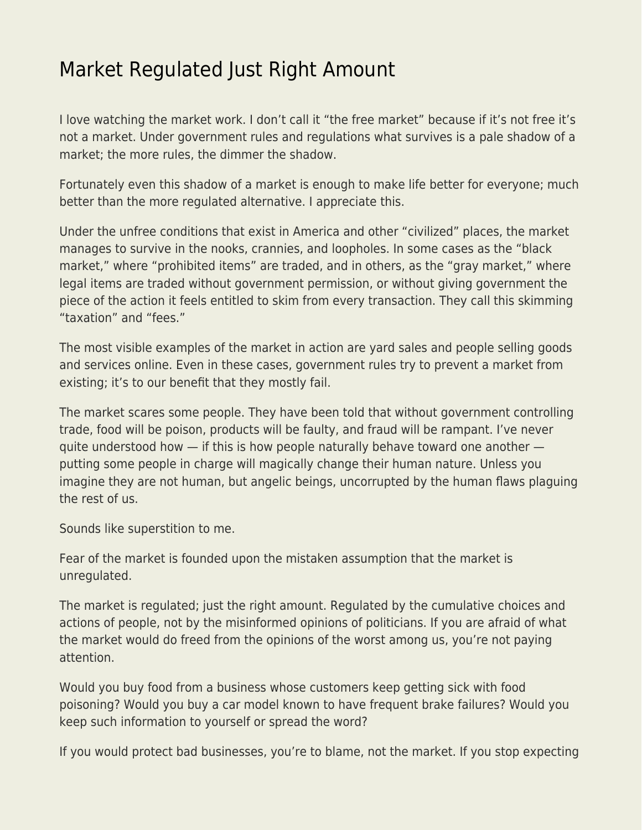## [Market Regulated Just Right Amount](https://everything-voluntary.com/market-regulated-just-right-amount)

I love watching the market work. I don't call it "the free market" because if it's not free it's not a market. Under government rules and regulations what survives is a pale shadow of a market; the more rules, the dimmer the shadow.

Fortunately even this shadow of a market is enough to make life better for everyone; much better than the more regulated alternative. I appreciate this.

Under the unfree conditions that exist in America and other "civilized" places, the market manages to survive in the nooks, crannies, and loopholes. In some cases as the "black market," where "prohibited items" are traded, and in others, as the "gray market," where legal items are traded without government permission, or without giving government the piece of the action it feels entitled to skim from every transaction. They call this skimming "taxation" and "fees."

The most visible examples of the market in action are yard sales and people selling goods and services online. Even in these cases, government rules try to prevent a market from existing; it's to our benefit that they mostly fail.

The market scares some people. They have been told that without government controlling trade, food will be poison, products will be faulty, and fraud will be rampant. I've never quite understood how — if this is how people naturally behave toward one another putting some people in charge will magically change their human nature. Unless you imagine they are not human, but angelic beings, uncorrupted by the human flaws plaguing the rest of us.

Sounds like superstition to me.

Fear of the market is founded upon the mistaken assumption that the market is unregulated.

The market is regulated; just the right amount. Regulated by the cumulative choices and actions of people, not by the misinformed opinions of politicians. If you are afraid of what the market would do freed from the opinions of the worst among us, you're not paying attention.

Would you buy food from a business whose customers keep getting sick with food poisoning? Would you buy a car model known to have frequent brake failures? Would you keep such information to yourself or spread the word?

If you would protect bad businesses, you're to blame, not the market. If you stop expecting